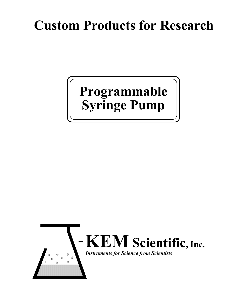# **Custom Products for Research**

# **Programmable Syringe Pump**

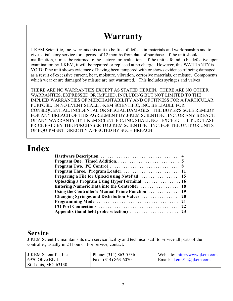# **Warranty**

J-KEM Scientific, Inc. warrants this unit to be free of defects in materials and workmanship and to give satisfactory service for a period of 12 months from date of purchase. If the unit should malfunction, it must be returned to the factory for evaluation. If the unit is found to be defective upon examination by J-KEM, it will be repaired or replaced at no charge. However, this WARRANTY is VOID if the unit shows evidence of having been tampered with or shows evidence of being damaged as a result of excessive current, heat, moisture, vibration, corrosive materials, or misuse. Components which wear or are damaged by misuse are not warranted. This includes syringes and valves

THERE ARE NO WARRANTIES EXCEPT AS STATED HEREIN. THERE ARE NO OTHER WARRANTIES, EXPRESSED OR IMPLIED, INCLUDING BUT NOT LIMITED TO THE IMPLIED WARRANTIES OF MERCHANTABILITY AND OF FITNESS FOR A PARTICULAR PURPOSE. IN NO EVENT SHALL J-KEM SCIENTIFIC, INC. BE LIABLE FOR CONSEQUENTIAL, INCIDENTAL OR SPECIAL DAMAGES. THE BUYER'S SOLE REMEDY FOR ANY BREACH OF THIS AGREEMENT BY J-KEM SCIENTIFIC, INC. OR ANY BREACH OF ANY WARRANTY BY J-KEM SCIENTIFIC, INC. SHALL NOT EXCEED THE PURCHASE PRICE PAID BY THE PURCHASER TO J-KEM SCIENTIFIC, INC. FOR THE UNIT OR UNITS OF EQUIPMENT DIRECTLY AFFECTED BY SUCH BREACH.

# **Index**

#### **Service**

J-KEM Scientific maintains its own service facility and technical staff to service all parts of the controller, usually in 24 hours. For service, contact:

| J-KEM Scientific, Inc.     | Phone: (314) 863-5536   | Web site: http://www.jkem.com              |
|----------------------------|-------------------------|--------------------------------------------|
| 6970 Olive Blvd.           | Fax: $(314) 863 - 6070$ | Email: $\frac{i\text{kem911}}{a}$ ikem.com |
| <b>St. Louis, MO 63130</b> |                         |                                            |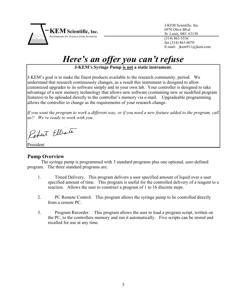

 J-KEM Scientific, Inc. 6970 Olive Blvd. St. Louis, MO 63130 (314) 863-5536 fax (314) 863-6070 E-mail: jkem911@jkem.com

# *Here's an offer you can't refuse*

**J-KEM's Syringe Pump is not a static instrument.** 

J-KEM's goal is to make the finest products available to the research community, period. We understand that research continuously changes, as a result this instrument is designed to allow customized upgrades to its software simply and in your own lab. Your controller is designed to take advantage of a new memory technology that allows new software (containing new or modified program features) to be uploaded directly to the controller's memory via e-mail. Upgradeable programming allows the controller to change as the requirements of your research change.

*If you want the program to work a different way, or if you need a new feature added to the program, call us!! We're ready to work with you.*

Robert Elliott

President

#### **Pump Overview**

 The syringe pump is programmed with 3 standard programs plus one optional, user-defined program. The three standard programs are:

- 1. Timed Delivery. This program delivers a user specified amount of liquid over a user specified amount of time. This program is useful for the controlled delivery of a reagent to a reaction. Allows the user to construct a program of 1 to 16 discrete steps.
- 2. PC Remote Control. This program allows the syringe pump to be controlled directly from a remote PC.
- 3. Program Recorder. This program allows the user to load a program script, written on the PC, to the controllers memory and run it automatically. Five scripts can be stored and recalled for use at any time.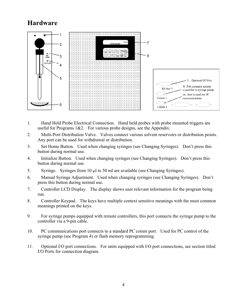## **Hardware**



- 1. Hand Held Probe Electrical Connection. Hand held probes with probe mounted triggers are useful for Programs  $1&2$ . For various probe designs, see the Appendix.
- 2. Multi-Port Distribution Valve. Valves connect various solvent reservoirs or distribution points. Any port can be used for withdrawal or distribution.
- 3. Set Home Button. Used when changing syringes (see Changing Syringes). Don't press this button during normal use.
- 4. Initialize Button. Used when changing syringes (see Changing Syringes). Don't press this button during normal use.
- 5. Syringe. Syringes from 10 µl to 50 ml are available (see Changing Syringes).
- 6. Manual Syringe Adjustment. Used when changing syringes (see Changing Syringes). Don't press this button during normal use.
- 7. Controller LCD Display. The display shows user relevant information for the program being run.
- 8. Controller Keypad. The keys have multiple context sensitive meanings with the most common meanings printed on the keys.
- 9. For syringe pumps equipped with remote controllers, this port connects the syringe pump to the controller via a 9-pin cable.
- 10. PC communications port connects to a standard PC comm port. Used for PC control of the syringe pump (see Program 4) or flash memory reprogramming.
- 11. Optional I/O port connections. For units equipped with I/O port connections, see section titled I/O Ports for connection diagram.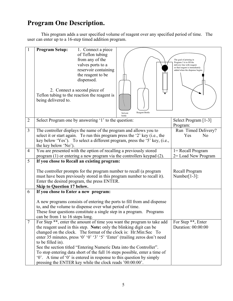## **Program One Description.**

 This program adds a user specified volume of reagent over any specified period of time. The user can enter up to a 16-step timed addition program.

| $\mathbf{1}$   | 1. Connect a piece<br><b>Program Setup:</b><br>of Teflon tubing<br>from any of the<br>valves ports to a<br>reservoir containing<br>the reagent to be<br>dispensed.<br>2. Connect a second piece of<br>Teflon tubing to the reaction the reagent is<br>being delivered to.<br>Reagent Bottle<br>Solvent<br>bottle                                                                                                                                                                                                                                                                                             | The goal of priming in<br>Program 3 is to fill the<br>delivery line with reagent<br>so that reagent is immediately<br>added when the dispense begins |
|----------------|--------------------------------------------------------------------------------------------------------------------------------------------------------------------------------------------------------------------------------------------------------------------------------------------------------------------------------------------------------------------------------------------------------------------------------------------------------------------------------------------------------------------------------------------------------------------------------------------------------------|------------------------------------------------------------------------------------------------------------------------------------------------------|
| $\overline{2}$ | Select Program one by answering '1' to the question:                                                                                                                                                                                                                                                                                                                                                                                                                                                                                                                                                         | Select Program [1-3]<br>Program:                                                                                                                     |
| 3              | The controller displays the name of the program and allows you to<br>select it or start again. To run this program press the '2' key (i.e., the<br>key below 'Yes'). To select a different program, press the '5' key, (i.e.,<br>the key below 'No').                                                                                                                                                                                                                                                                                                                                                        | Run Timed Delivery?<br>Yes<br>N <sub>o</sub>                                                                                                         |
| $\overline{4}$ | You are presented with the option of recalling a previously stored<br>program $(1)$ or entering a new program via the controllers keypad $(2)$ .                                                                                                                                                                                                                                                                                                                                                                                                                                                             | $l = Recall Program$<br>2 = Load New Program                                                                                                         |
| 5              | If you chose to Recall an existing program:                                                                                                                                                                                                                                                                                                                                                                                                                                                                                                                                                                  |                                                                                                                                                      |
|                | The controller prompts for the program number to recall (a program<br>must have been previously stored in this program number to recall it).<br>Enter the desired program, the press ENTER.<br>Skip to Question 17 below.                                                                                                                                                                                                                                                                                                                                                                                    | Recall Program<br>Number[ $1-3$ ]:                                                                                                                   |
| 6              | If you chose to Enter a new program:                                                                                                                                                                                                                                                                                                                                                                                                                                                                                                                                                                         |                                                                                                                                                      |
|                | A new programs consists of entering the ports to fill from and dispense<br>to, and the volume to dispense over what period of time.<br>These four questions constitute a single step in a program. Programs<br>can be from 1 to 16 steps long.                                                                                                                                                                                                                                                                                                                                                               |                                                                                                                                                      |
| $\overline{7}$ | For Step **, enter the amount of time you want the program to take add<br>the reagent used in this step. Note: only the blinking digit can be<br>changed on the clock. The format of the clock is: Hr:Min:Sec To<br>enter 35 minutes, press '0' '0' '3' '5' 'Enter' (trailing zeros don't need<br>to be filled in).<br>See the section titled "Entering Numeric Data into the Controller".<br>To stop entering data short of the full 16 steps possible, enter a time of<br>"0". A time of "0" is entered in response to this question by simply<br>pressing the ENTER key while the clock reads '00:00:00'. | For Step **, Enter<br>Duration: 00:00:00                                                                                                             |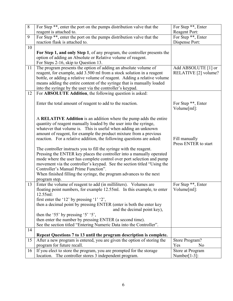| 8  | For Step **, enter the port on the pumps distribution valve that the     | For Step **, Enter    |
|----|--------------------------------------------------------------------------|-----------------------|
|    | reagent is attached to.                                                  | Reagent Port:         |
| 9  | For Step **, enter the port on the pumps distribution valve that the     | For Step **, Enter    |
|    | reaction flask is attached to.                                           | Dispense Port:        |
| 10 |                                                                          |                       |
|    | For Step 1, and only Step 1, of any program, the controller presents the |                       |
|    | option of adding an Absolute or Relative volume of reagent.              |                       |
|    | For Steps 2-16, skip to Question 13.                                     |                       |
| 11 | The program presents the option of adding an absolute volume of          | Add ABSOLUTE [1] or   |
|    | reagent, for example, add 3.500 ml from a stock solution in a reagent    | RELATIVE [2] volume?  |
|    | bottle, or adding a relative volume of reagent. Adding a relative volume |                       |
|    | means adding the entire content of the syringe that is manually loaded   |                       |
|    | into the syringe by the user via the controller's keypad.                |                       |
| 12 | For ABSOLUTE Addition, the following question is asked:                  |                       |
|    |                                                                          |                       |
|    | Enter the total amount of reagent to add to the reaction.                | For Step **, Enter    |
|    |                                                                          | Volume[ml]:           |
|    | A RELATIVE Addition is an addition where the pump adds the entire        |                       |
|    | quantity of reagent manually loaded by the user into the syringe,        |                       |
|    | whatever that volume is. This is useful when adding an unknown           |                       |
|    | amount of reagent, for example the product mixture from a previous       |                       |
|    | reaction. For a relative addition, the following questions are asked:    | Fill manually         |
|    |                                                                          | Press ENTER to start  |
|    | The controller instructs you to fill the syringe with the reagent.       |                       |
|    | Pressing the ENTER key places the controller into a manually operated    |                       |
|    | mode where the user has complete control over port selection and pump    |                       |
|    | movement via the controller's keypad. See the section titled "Using the  |                       |
|    | Controller's Manual Prime Function".                                     |                       |
|    | When finished filling the syringe, the program advances to the next      |                       |
|    | program step.                                                            |                       |
| 13 | Enter the volume of reagent to add (in milliliters). Volumes are         | For Step **, Enter    |
|    | floating point numbers, for example 12.55ml. In this example, to enter   | Volume[ml]:           |
|    | 12.55ml:                                                                 |                       |
|    | first enter the '12' by pressing '1' '2',                                |                       |
|    | then a decimal point by pressing ENTER (enter is both the enter key      |                       |
|    | and the decimal point key),                                              |                       |
|    | then the '55' by pressing '5' '5',                                       |                       |
|    | then enter the number by pressing ENTER (a second time).                 |                       |
|    | See the section titled "Entering Numeric Data into the Controller".      |                       |
| 14 |                                                                          |                       |
|    | Repeat Questions 7 to 13 until the program description is complete.      |                       |
| 15 | After a new program is entered, you are given the option of storing the  | Store Program?        |
|    | program for future recall.                                               | Yes<br>N <sub>0</sub> |
| 16 | If you elect to store the program, you are prompted for the storage      | Store at Program      |
|    | location. The controller stores 3 independent program.                   | Number[ $1-3$ ]:      |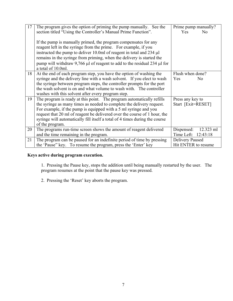| 17 | The program gives the option of priming the pump manually. See the                 | Prime pump manually?    |
|----|------------------------------------------------------------------------------------|-------------------------|
|    |                                                                                    |                         |
|    | section titled "Using the Controller's Manual Prime Function".                     | Yes<br>N <sub>0</sub>   |
|    |                                                                                    |                         |
|    | If the pump is manually primed, the program compensates for any                    |                         |
|    | reagent left in the syringe from the prime. For example, if you                    |                         |
|    | instructed the pump to deliver 10.0ml of reagent in total and 234 µl               |                         |
|    | remains in the syringe from priming, when the delivery is started the              |                         |
|    | pump will withdraw 9,766 $\mu$ l of reagent to add to the residual 234 $\mu$ l for |                         |
|    | a total of 10.0ml.                                                                 |                         |
| 18 | At the end of each program step, you have the option of washing the                | Flush when done?        |
|    | syringe and the delivery line with a wash solvent. If you elect to wash            | Yes<br>N <sub>0</sub>   |
|    | the syringe between program steps, the controller prompts for the port             |                         |
|    | the wash solvent is on and what volume to wash with. The controller                |                         |
|    | washes with this solvent after every program step.                                 |                         |
| 19 | The program is ready at this point. The program automatically refills              | Press any key to        |
|    | the syringe as many times as needed to complete the delivery request.              | Start [Exit=RESET]      |
|    | For example, if the pump is equipped with a 5 ml syringe and you                   |                         |
|    | request that 20 ml of reagent be delivered over the course of 1 hour, the          |                         |
|    | syringe will automatically fill itself a total of 4 times during the course        |                         |
|    | of the program.                                                                    |                         |
| 20 | The programs run-time screen shows the amount of reagent delivered                 | 12.323 ml<br>Dispensed: |
|    | and the time remaining in the program.                                             | Time Left: 12:43:18     |
| 21 | The program can be paused for an indefinite period of time by pressing             | Delivery Paused         |
|    | the 'Pause'' key. To resume the program, press the 'Enter' key                     | Hit ENTER to resume     |

#### **Keys active during program execution.**

 1. Pressing the Pause key, stops the addition until being manually restarted by the user. The program resumes at the point that the pause key was pressed.

2. Pressing the 'Reset' key aborts the program.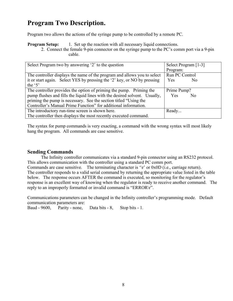## **Program Two Description.**

Program two allows the actions of the syringe pump to be controlled by a remote PC.

**Program Setup:** 1. Set up the reaction with all necessary liquid connections.

 2. Connect the female 9-pin connector on the syringe pump to the PC's comm port via a 9-pin cable.

| Select Program two by answering '2' to the question                        | Select Program [1-3]  |
|----------------------------------------------------------------------------|-----------------------|
|                                                                            | Program:              |
| The controller displays the name of the program and allows you to select   | Run PC Control        |
| it or start again. Select YES by pressing the '2' key, or NO by pressing   | Yes<br>N <sub>o</sub> |
| the $5$ '                                                                  |                       |
| The controller provides the option of priming the pump. Priming the        | Prime Pump?           |
| pump flushes and fills the liquid lines with the desired solvent. Usually, | Yes<br>N <sub>0</sub> |
| priming the pump is necessary. See the section titled "Using the           |                       |
| Controller's Manual Prime Function" for additional information.            |                       |
| The introductory run-time screen is shown here.                            | Ready                 |
| The controller then displays the most recently executed command.           |                       |

The syntax for pump commands is very exacting, a command with the wrong syntax will most likely hang the program. All commands are case sensitive.

#### **Sending Commands**

 The Infinity controller communicates via a standard 9-pin connector using an RS232 protocol. This allows communication with the controller using a standard PC comm port. Commands are case sensitive. The terminating character is '\r' or 0x0D (i.e., carriage return). The controller responds to a valid serial command by returning the appropriate value listed in the table below. The response occurs AFTER the command is executed, so monitoring for the regulator's response is an excellent way of knowing when the regulator is ready to receive another command. The reply to an improperly formatted or invalid command is "ERROR\r".

Communications parameters can be changed in the Infinity controller's programming mode. Default communication parameters are:

Baud - 9600, Parity - none, Data bits - 8, Stop bits - 1.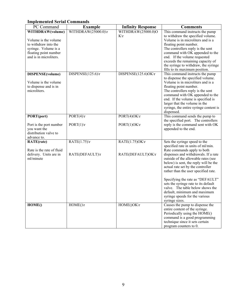#### **Implemented Serial Commands**

| PC Command                                          | <b>Example</b>                   | <b>Infinity Response</b> | <b>Comments</b>                                                             |
|-----------------------------------------------------|----------------------------------|--------------------------|-----------------------------------------------------------------------------|
| WITHDRAW(volume)                                    | WITHDRAW(25000.0) $\rrbracket$ r | WITHDRAW(25000.0)O       | This command instructs the pump                                             |
|                                                     |                                  | $K\setminus r$           | to withdraw the specified volume.                                           |
| Volume is the volume                                |                                  |                          | Volume is in microliters and is a                                           |
| to withdraw into the                                |                                  |                          | floating point number.                                                      |
| syringe. Volume is a                                |                                  |                          | The controllers reply is the sent                                           |
| floating point number<br>and is in microliters.     |                                  |                          | command with OK appended to the<br>end. If the volume requested             |
|                                                     |                                  |                          | exceeds the remaining capacity of                                           |
|                                                     |                                  |                          | the syringe to withdraw, the syringe                                        |
|                                                     |                                  |                          | fills to its maximum position.                                              |
| DISPENSE(volume)                                    | DISPENSE $(125.6)$ \r            | DISPENSE(125.6)OK\r      | This command instructs the pump                                             |
|                                                     |                                  |                          | to dispense the specified volume.                                           |
| Volume is the volume                                |                                  |                          | Volume is in microliters and is a                                           |
| to dispense and is in                               |                                  |                          | floating point number.                                                      |
| microliters.                                        |                                  |                          | The controllers reply is the sent                                           |
|                                                     |                                  |                          | command with OK appended to the                                             |
|                                                     |                                  |                          | end. If the volume is specified is                                          |
|                                                     |                                  |                          | larger that the volume in the                                               |
|                                                     |                                  |                          | syringe, the entire syringe content is<br>dispensed.                        |
| PORT(port)                                          | $\overline{PORT(4)}$             | $PORT(4)OK\$ r           | This command sends the pump to                                              |
|                                                     |                                  |                          | the specified port. The controllers                                         |
| Port is the port number                             | $PORT(1)\rvert r$                | $PORT(1)OK\$             | reply is the command sent with OK                                           |
| you want the                                        |                                  |                          | appended to the end.                                                        |
| distribution valve to                               |                                  |                          |                                                                             |
| advance to.                                         |                                  |                          |                                                                             |
| <b>RATE(rate)</b>                                   | RATE(1.75)                       | RATE(1.75)OKr            | Sets the syringe speed to the                                               |
|                                                     |                                  |                          | specified rate in units of ml/min.                                          |
| Rate is the rate of fluid<br>delivery. Units are in |                                  |                          | Rate commands apply to both                                                 |
| ml/minute                                           | RATE(DEFAULT)\r                  | RATE(DEFAULT)OK\r        | dispenses and withdrawals. If a rate<br>outside of the allowable rates (see |
|                                                     |                                  |                          | below) is sent, the reply will be the                                       |
|                                                     |                                  |                          | actual rate set by the controller                                           |
|                                                     |                                  |                          | rather than the user specified rate.                                        |
|                                                     |                                  |                          |                                                                             |
|                                                     |                                  |                          | Specifying the rate as "DEFAULT"                                            |
|                                                     |                                  |                          | sets the syringe rate to its default                                        |
|                                                     |                                  |                          | valve. The table below shows the                                            |
|                                                     |                                  |                          | default, minimum and maximum                                                |
|                                                     |                                  |                          | syringe speeds for the various<br>syringe sizes.                            |
| HOME()                                              | $HOME() \rightharpoonup r$       | HOME()OK\r               | Causes the pump to dispense the                                             |
|                                                     |                                  |                          | entire content of the syringe.                                              |
|                                                     |                                  |                          | Periodically using the HOME()                                               |
|                                                     |                                  |                          | command is a good programming                                               |
|                                                     |                                  |                          | technique since it sets certain                                             |
|                                                     |                                  |                          | program counters to 0.                                                      |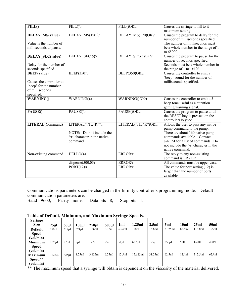| FILL()                   | FILL()                               | FILL()OK\r                | Causes the syringe to fill to it                                         |
|--------------------------|--------------------------------------|---------------------------|--------------------------------------------------------------------------|
|                          |                                      |                           | maximum setting.                                                         |
| <b>DELAY MS(value)</b>   | DELAY MS(120)\r                      | DELAY MS(120)OK\r         | Causes the program to delay for the<br>number of milliseconds specified. |
| Value is the number of   |                                      |                           | The number of milliseconds must                                          |
| milliseconds to pause.   |                                      |                           | be a whole number in the range of 1                                      |
|                          |                                      |                           | to 65000.                                                                |
| <b>DELAY SEC(value)</b>  | DELAY SEC(5)\r                       | DELAY_SEC(5)OK\r          | Causes the program to pause for the                                      |
|                          |                                      |                           | number of seconds specified.                                             |
| Delay for the number of  |                                      |                           | Seconds must be a whole number in                                        |
| seconds specified.       |                                      |                           | the range of 1 to $1x10^8$ .                                             |
| <b>BEEP(value)</b>       | BEEP(350)                            | BEEP(350)OK\r             | Causes the controller to emit a                                          |
|                          |                                      |                           | 'beep' sound for the number of                                           |
| Causes the controller to |                                      |                           | milliseconds specified.                                                  |
| 'beep' for the number    |                                      |                           |                                                                          |
| of milliseconds          |                                      |                           |                                                                          |
| specified.               |                                      |                           | Causes the controller to emit a 3-                                       |
| <b>WARNING()</b>         | WARNING()\r                          | WARNING()OK\r             | beep tone useful as a attention                                          |
|                          |                                      |                           |                                                                          |
|                          | PAUSE()                              | PAUSE()OK\r               | getting warning signal.                                                  |
| PAUSE()                  |                                      |                           | Causes the program to pause until<br>the RESET key is pressed on the     |
|                          |                                      |                           | controllers keypad.                                                      |
| LITERAL(Command)         | LITERAL("/1L4R")\r                   | LITERAL("/1L4R")OK\r      | Allows the user to pass any native                                       |
|                          |                                      |                           | pump command to the pump.                                                |
|                          | NOTE: <b>Do not</b> include the      |                           | There are about 160 native pump                                          |
|                          | $\forall$ r' character in the native |                           | commands available. Contact                                              |
|                          | command.                             |                           | J-KEM for a list of commands. Do                                         |
|                          |                                      |                           | not include the '\r' character in the                                    |
|                          |                                      |                           | native command.                                                          |
| Non-existing command     | HELLO()                              | <b>ERROR</b> <sup>T</sup> | The reply to any non-existing                                            |
|                          |                                      |                           | command is ERROR                                                         |
|                          | $disperse(500.0)\r$                  | <b>ERROR</b> \r           | All commands must be upper case.                                         |
|                          | PORT(12)                             | <b>ERROR\r</b>            | The value for port setting $(12)$ is                                     |
|                          |                                      |                           | larger than the number of ports                                          |
|                          |                                      |                           | available.                                                               |

Communications parameters can be changed in the Infinity controller's programming mode. Default communication parameters are:<br>Baud - 9600, Parity - none,

Parity - none, Data bits -  $8$ , Stop bits - 1.

| Table of Default, Minimum, and Maximum Syringe Speeds. |  |  |  |
|--------------------------------------------------------|--|--|--|
|                                                        |  |  |  |

| <b>Syringe</b> |                 |                  |                  |            |                  |         |            |          |          |                 |         |                  |
|----------------|-----------------|------------------|------------------|------------|------------------|---------|------------|----------|----------|-----------------|---------|------------------|
| <b>Size</b>    | 25 <sub>µ</sub> | 50 <sub>ul</sub> | 100 <sub>µ</sub> | $250 \mu$  | 500 <sub>µ</sub> | 1ml     | 1.25ml     | 2.5ml    | 5ml      | 10 <sub>m</sub> | 25ml    | 50 <sub>ml</sub> |
| <b>Default</b> | 156µl           | $312$ ul         | $624$ ul         | 1.56ml     | 3.12ml           | 6.24ml  | 7.8ml      | 15.6ml   | 31.25ml  | 62.5ml          | 118.8ml | 125ml            |
| <b>Speed</b>   |                 |                  |                  |            |                  |         |            |          |          |                 |         |                  |
| (vol/min)      |                 |                  |                  |            |                  |         |            |          |          |                 |         |                  |
| <b>Minimum</b> | $1.25$ µl       | $2.5 \mu$        | $5\mul$          | $12.5 \mu$ | $25 \mu$         | $50\mu$ | $62.5 \mu$ | $125$ ul | $250$ ul | $500$ ul        | .25ml   | 2.5ml            |
| <b>Speed</b>   |                 |                  |                  |            |                  |         |            |          |          |                 |         |                  |
| (vol/min)      |                 |                  |                  |            |                  |         |            |          |          |                 |         |                  |
| <b>Maximum</b> | $312.5 \mu$     | $625$ µl         | 1.25ml           | 3.125ml    | 6.25ml           | 12.5ml  | 15.625ml   | 31.25ml  | 62.5ml   | 125ml           | 312.5ml | 625ml            |
| Speed**        |                 |                  |                  |            |                  |         |            |          |          |                 |         |                  |
| (vol/min)      |                 |                  |                  |            |                  |         |            |          |          |                 |         |                  |

\*\* The maximum speed that a syringe will obtain is dependent on the viscosity of the material delivered.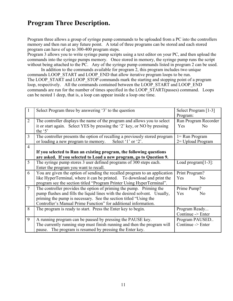#### **Program Three Description.**

Program three allows a group of syringe pump commands to be uploaded from a PC into the controllers memory and then run at any future point. A total of three programs can be stored and each stored program can have of up to 300-400 program steps.

Program 3 allows you to write syringe pump scripts using a text editor on your PC, and then upload the commands into the syringe pumps memory. Once stored in memory, the syringe pump runs the script without being attached to the PC. Any of the syringe pump commands listed in program 2 can be used.

 In addition to the commands available for program 2, this program includes two unique commands LOOP\_START and LOOP\_END that allow iterative program loops to be run. The LOOP START and LOOP STOP commands mark the starting and stopping point of a program loop, respectively. All the commands contained between the LOOP\_START and LOOP\_END commands are run for the number of times specified in the LOOP\_START(passes) command. Loops can be nested 1 deep, that is, a loop can appear inside a loop one time.

| 1               | Select Program three by answering '3' to the question                       | Select Program [1-3]   |
|-----------------|-----------------------------------------------------------------------------|------------------------|
|                 |                                                                             | Program:               |
| $\overline{2}$  | The controller displays the name of the program and allows you to select    | Run Program Recorder   |
|                 | it or start again. Select YES by pressing the '2' key, or NO by pressing    | <b>Yes</b><br>No       |
|                 | the '5'                                                                     |                        |
| 3               | The controller presents the option of recalling a previously stored program | $l = Run Program$      |
|                 | or loading a new program to memory.<br>Select '1' or '2'.                   | $2 =$ Upload Program   |
| $\overline{4}$  |                                                                             |                        |
|                 | If you selected to Run an existing program, the following questions         |                        |
|                 | are asked. If you selected to Load a new program, go to Question 9.         |                        |
| 5 <sup>5</sup>  | The syringe pump stores 3 user defined programs of 300 steps each.          | Load program $[1-3]$ : |
|                 | Enter the program you want to recall.                                       |                        |
| 6               | You are given the option of sending the recalled program to an application  | Print Program?         |
|                 | like HyperTerminal, where it can be printed. To download and print the      | Yes<br>N <sub>0</sub>  |
|                 | program see the section titled "Program Printer Using HyperTerminal".       |                        |
| $7\phantom{.0}$ | The controller provides the option of priming the pump. Priming the         | Prime Pump?            |
|                 | pump flushes and fills the liquid lines with the desired solvent. Usually,  | Yes<br>N <sub>0</sub>  |
|                 | priming the pump is necessary. See the section titled "Using the            |                        |
|                 | Controller's Manual Prime Function" for additional information.             |                        |
| 8               | The program is ready to start. Press the Enter key to begin.                | Program Ready          |
|                 |                                                                             | Continue -> Enter      |
| 9               | A running program can be paused by pressing the PAUSE key.                  | Program PAUSED         |
|                 | The currently running step must finish running and then the program will    | Continue -> Enter      |
|                 | pause. The program is resumed by pressing the Enter key.                    |                        |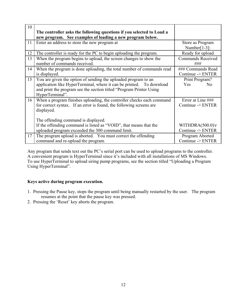| 10 | The controller asks the following questions if you selected to Load a<br>new program. See examples of loading a new program below.                                                                                               |                                                     |
|----|----------------------------------------------------------------------------------------------------------------------------------------------------------------------------------------------------------------------------------|-----------------------------------------------------|
| 11 | Enter an address to store the new program at                                                                                                                                                                                     | Store as Program<br>Number[ $1-3$ ]:                |
| 12 | The controller is ready for the PC to begin uploading the program.                                                                                                                                                               | Ready for upload                                    |
| 13 | When the program begins to upload, the screen changes to show the<br>number of commands received.                                                                                                                                | <b>Commands Received</b><br>###                     |
| 14 | When the program is done uploading, the total number of commands read<br>is displayed.                                                                                                                                           | ### Commands Read<br>Continue -> ENTER              |
| 15 | You are given the option of sending the uploaded program to an<br>application like HyperTerminal, where it can be printed. To download<br>and print the program see the section titled "Program Printer Using<br>HyperTerminal". | Print Program?<br>Yes<br>No                         |
| 16 | When a program finishes uploading, the controller checks each command<br>for correct syntax. If an error is found, the following screens are<br>displayed.<br>The offending command is displayed.                                | Error at Line ###<br>Continue -> ENTER              |
|    | If the offending command is listed as "VOID", that means that the<br>uploaded program exceeded the 300 command limit.                                                                                                            | WITHDRA $(500.0)$ <sup>r</sup><br>Continue -> ENTER |
| 17 | The program upload is aborted. You must correct the offending<br>command and re-upload the program.                                                                                                                              | Program Aborted<br>Continue -> ENTER                |

Any program that sends text out the PC's serial port can be used to upload programs to the controller. A convenient program is HyperTerminal since it's included with all installations of MS Windows. To use HyperTerminal to upload siring pump programs, see the section titled "Uploading a Program Using HyperTerminal".

#### **Keys active during program execution.**

- 1. Pressing the Pause key, stops the program until being manually restarted by the user. The program resumes at the point that the pause key was pressed.
- 2. Pressing the 'Reset' key aborts the program.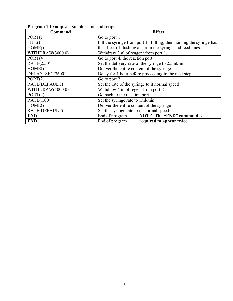| Command          | <b>Effect</b>                                                      |
|------------------|--------------------------------------------------------------------|
| PORT(1)          | Go to port 1                                                       |
| FILL()           | Fill the syringe from port 1. Filling, then homing the syringe has |
| HOME()           | the effect of flushing air from the syringe and feed lines.        |
| WITHDRAW(3000.0) | Withdraw 3ml of reagent from port 1.                               |
| PORT(4)          | Go to port 4, the reaction port.                                   |
| RATE(2.50)       | Set the delivery rate of the syringe to 2.5ml/min                  |
| HOME()           | Deliver the entire content of the syringe                          |
| DELAY SEC(3600)  | Delay for 1 hour before proceeding to the next step                |
| PORT(2)          | Go to port 2                                                       |
| RATE(DEFAULT)    | Set the rate of the syringe to it normal speed                     |
| WITHDRAW(4000.0) | Withdraw 4ml of regent from port 2                                 |
| PORT(4)          | Go back to the reaction port                                       |
| RATE(1.00)       | Set the syringe rate to 1ml/min                                    |
| HOME()           | Deliver the entire content of the syringe                          |
| RATE(DEFAULT)    | Set the syringe rate to its normal speed                           |
| <b>END</b>       | <b>NOTE: The "END" command is</b><br>End of program.               |
| <b>END</b>       | End of program<br>required to appear twice                         |

**Program 1 Example** Simple command script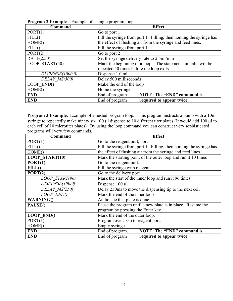| Command          | <b>Effect</b>                                                      |
|------------------|--------------------------------------------------------------------|
| PORT(1)          | Go to port 1                                                       |
| FILL()           | Fill the syringe from port 1. Filling, then homing the syringe has |
| HOME()           | the effect of flushing air from the syringe and feed lines.        |
| FILL()           | Fill the syringe from port 1                                       |
| PORT(2)          | Go to port 2                                                       |
| RATE(2.50)       | Set the syringe delivery rate to 2.5ml/min                         |
| LOOP START(50)   | Mark the beginning of a loop. The statements in italic will be     |
|                  | repeated 50 times before the loop exits.                           |
| DISPENSE(1000.0) | Dispense 1.0 ml                                                    |
| DELAY MS(500)    | Delay 500 milliseconds                                             |
| $LOOP$ $END()$   | Make the end of the loop                                           |
| HOME()           | Home the syringe                                                   |
| <b>END</b>       | <b>NOTE: The "END" command is</b><br>End of program.               |
| <b>END</b>       | End of program<br>required to appear twice                         |

**Program 2 Example** Example of a single program loop.

**Program 3 Example.** Example of a nested program loop. This program instructs a pump with a 10ml syringe to repeatedly make ninety six 100 µl dispense to 10 different titer plates (It would add 100 µl to each cell of 10 microtiter plates). By using the loop command you can construct very sophisticated programs will very few commands.

| Command               | <b>Effect</b>                                                      |
|-----------------------|--------------------------------------------------------------------|
| PORT(1)               | Go to the reagent port, port 1                                     |
| FILL()                | Fill the syringe from port 1. Filling, then homing the syringe has |
| HOME()                | the effect of flushing air from the syringe and feed lines.        |
| <b>LOOP START(10)</b> | Mark the starting point of the outer loop and run it 10 times      |
| PORT(1)               | Go to the reagent port.                                            |
| FILL()                | Fill the syringe with reagent                                      |
| PORT(2)               | Go to the delivery port                                            |
| LOOP START(96)        | Mark the start of the inner loop and run it 96 times               |
| DISPENSE(100.0)       | Dispense $100 \mu l$                                               |
| DELAY MS(250)         | Delay 250ms to move the dispensing tip to the next cell            |
| LOOP END()            | Mark the end of the inner loop                                     |
| <b>WARNING()</b>      | Audio cue that plate is done                                       |
| PAUSE <sub>()</sub>   | Pause the program until a new plate is in place. Resume the        |
|                       | program by pressing the Enter key.                                 |
| <b>LOOP END()</b>     | Mark the end of the outer loop.                                    |
| PORT(1)               | Program over. Go to reagent port.                                  |
| HOME()                | Empty syringe.                                                     |
| <b>END</b>            | <b>NOTE: The "END" command is</b><br>End of program.               |
| <b>END</b>            | End of program<br>required to appear twice                         |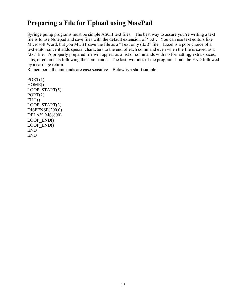### **Preparing a File for Upload using NotePad**

Syringe pump programs must be simple ASCII text files. The best way to assure you're writing a text file is to use Notepad and save files with the default extension of '.txt'. You can use text editors like Microsoft Word, but you MUST save the file as a "Text only (.txt)" file. Excel is a poor choice of a text editor since it adds special characters to the end of each command even when the file is saved as a '.txt' file. A properly prepared file will appear as a list of commands with no formatting, extra spaces, tabs, or comments following the commands. The last two lines of the program should be END followed by a carriage return.

Remember, all commands are case sensitive. Below is a short sample:

 $PORT(1)$ HOME() LOOP START(5) PORT(2)  $FILL()$ LOOP START(3) DISPENSE(200.0) DELAY MS(800) LOOP\_END() LOOP\_END() END END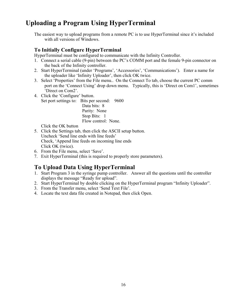#### **Uploading a Program Using HyperTerminal**

The easiest way to upload programs from a remote PC is to use HyperTerminal since it's included with all versions of Windows.

#### **To Initially Configure HyperTerminal**

HyperTerminal must be configured to communicate with the Infinity Controller.

- 1. Connect a serial cable (9-pin) between the PC's COMM port and the female 9-pin connector on the back of the Infinity controller.
- 2. Start HyperTerminal (under 'Programs', 'Accessories', 'Communications'). Enter a name for the uploader like 'Infinity Uploader', then click OK twice.
- 3. Select 'Properties' from the File menu.. On the Connect To tab, choose the current PC comm port on the 'Connect Using' drop down menu. Typically, this is 'Direct on Com1', sometimes 'Direct on Com2'.
- 4. Click the 'Configure' button. Set port settings to: Bits per second: 9600 Data bits: 8

 Parity: None Stop Bits: 1 Flow control: None.

Click the OK button

- 5. Click the Settings tab, then click the ASCII setup button. Uncheck 'Send line ends with line feeds' Check, 'Append line feeds on incoming line ends Click OK (twice).
- 6. From the File menu, select 'Save'.
- 7. Exit HyperTerminal (this is required to properly store parameters).

#### **To Upload Data Using HyperTerminal**

- 1. Start Program 3 in the syringe pump controller. Answer all the questions until the controller displays the message "Ready for upload".
- 2. Start HyperTerminal by double clicking on the HyperTerminal program "Infinity Uploader".
- 3. From the Transfer menu, select 'Send Text File'.
- 4. Locate the text data file created in Notepad, then click Open.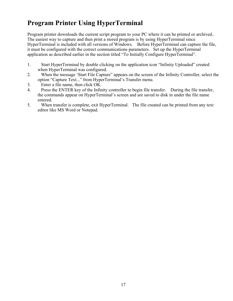## **Program Printer Using HyperTerminal**

Program printer downloads the current script program to your PC where it can be printed or archived.. The easiest way to capture and then print a stored program is by using HyperTerminal since HyperTerminal is included with all versions of Windows. Before HyperTerminal can capture the file, it must be configured with the correct communications parameters. Set up the HyperTerminal application as described earlier in the section titled "To Initially Configure HyperTerminal".

- 1. Start HyperTerminal by double clicking on the application icon "Infinity Uploaded" created when HyperTerminal was configured.
- 2. When the message 'Start File Capture" appears on the screen of the Infinity Controller, select the option "Capture Text..." from HyperTerminal's Transfer menu.
- 3. Enter a file name, then click OK.
- 4. Press the ENTER key of the Infinity controller to begin file transfer. During the file transfer, the commands appear on HyperTerminal's screen and are saved to disk in under the file name entered.
- 5. When transfer is complete, exit HyperTerminal. The file created can be printed from any text editor like MS Word or Notepad.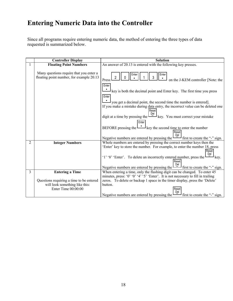## **Entering Numeric Data into the Controller**

Since all programs require entering numeric data, the method of entering the three types of data requested is summarized below.

|                | <b>Controller Display</b><br><b>Floating Point Numbers</b>                                          |                                                                                                                                                                                                                                                                                                                                                                           |
|----------------|-----------------------------------------------------------------------------------------------------|---------------------------------------------------------------------------------------------------------------------------------------------------------------------------------------------------------------------------------------------------------------------------------------------------------------------------------------------------------------------------|
|                |                                                                                                     | An answer of 20.13 is entered with the following key presses.                                                                                                                                                                                                                                                                                                             |
|                | Many questions require that you enter a<br>floating point number, for example 20.13                 | Enter<br>Ente<br>3<br>on the J-KEM controller [Note: the<br>Press                                                                                                                                                                                                                                                                                                         |
|                |                                                                                                     | Enter<br>٠<br>$\perp$ key is both the decimal point and Enter key. The first time you press<br>Enter                                                                                                                                                                                                                                                                      |
|                |                                                                                                     | $\blacksquare$<br>$\mathsf{I}_{\text{you get a decimal point, the second time the number is entered}.$<br>If you make a mistake during data entry, the incorrect value can be deleted one                                                                                                                                                                                 |
|                |                                                                                                     | Reset<br>digit at a time by pressing the $\begin{bmatrix} 0 & 0 \\ -1 & 0 \end{bmatrix}$ key. You must correct your mistake                                                                                                                                                                                                                                               |
|                |                                                                                                     | Enter<br>BEFORE pressing the $L_{\text{avg}}$ key the second time to enter the number<br>Reset<br>Del                                                                                                                                                                                                                                                                     |
|                |                                                                                                     | Negative numbers are entered by pressing the $\Box$ first to create the "-" sign.                                                                                                                                                                                                                                                                                         |
| $\overline{2}$ | <b>Integer Numbers</b>                                                                              | Whole numbers are entered by pressing the correct number keys then the<br>'Enter' key to store the number. For example, to enter the number 18, press<br>Reset<br>Del<br>'1' '8' 'Enter'. To delete an incorrectly entered number, press the l<br>Reset<br>Negative numbers are entered by pressing the $\boxed{\underline{P}_{\text{el}}}$ first to create the "-" sign. |
| 3              | <b>Entering a Time</b>                                                                              | When entering a time, only the flashing digit can be changed. To enter 45                                                                                                                                                                                                                                                                                                 |
|                | Questions requiring a time to be entered<br>will look something like this:<br>Enter Time $00:00:00$ | minutes, press: '0' '0' '4' '5' 'Enter'. It is not necessary to fill in trailing<br>zeros. To delete or backup 1 space in the timer display, press the 'Delete'<br>button.<br>Reset<br>Negative numbers are entered by pressing the $\boxed{\underline{P}_{\text{el}}}$ first to create the "-" sign.                                                                     |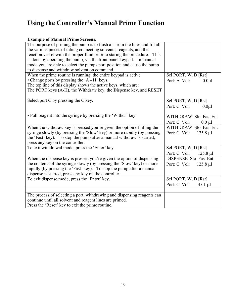## **Using the Controller's Manual Prime Function**

#### **Example of Manual Prime Screens.**

| The purpose of priming the pump is to flush air from the lines and fill all |                             |
|-----------------------------------------------------------------------------|-----------------------------|
| the various pieces of tubing connecting solvents, reagents, and the         |                             |
| reaction vessel with the proper fluid prior to staring the procedure. This  |                             |
| is done by operating the pump, via the front panel keypad. In manual        |                             |
| mode you are able to select the pumps port position and cause the pump      |                             |
| to dispense and withdraw solvent on command.                                |                             |
| When the prime routine is running, the entire keypad is active.             | Sel PORT, W, D [Rst]        |
| • Change ports by pressing the 'A - H' keys.                                | Port: A Vol:<br>$0.0\mu$ l  |
| The top line of this display shows the active keys, which are:              |                             |
| The PORT keys (A-H), the Withdraw key, the Dispense key, and RESET          |                             |
|                                                                             |                             |
| Select port C by pressing the C key.                                        | Sel PORT, W, D [Rst]        |
|                                                                             | Port: C Vol:<br>$0.0\mu$ l  |
|                                                                             |                             |
| • Pull reagent into the syringe by pressing the 'Withdr' key.               | WITHDRAW Slo Fas Ent        |
|                                                                             | Port: C Vol:<br>$0.0 \mu l$ |
| When the withdraw key is pressed you're given the option of filling the     | WITHDRAW Slo Fas Ent        |
| syringe slowly (by pressing the 'Slow' key) or more rapidly (by pressing    | Port: C Vol: 125.8 µl       |
| the 'Fast' key). To stop the pump after a manual withdraw is started,       |                             |
| press any key on the controller.                                            |                             |
| To exit withdrawal mode, press the 'Enter' key.                             | Sel PORT, W, D [Rst]        |
|                                                                             | Port: C Vol: 125.8 µl       |
| When the dispense key is pressed you're given the option of dispensing      | DISPENSE Slo Fas Ent        |
| the contents of the syringe slowly (by pressing the 'Slow' key) or more     | Port: C Vol: 125.8 µl       |
| rapidly (by pressing the 'Fast' key). To stop the pump after a manual       |                             |
| dispense is started, press any key on the controller.                       |                             |
| To exit dispense mode, press the 'Enter' key.                               | Sel PORT, W, D [Rst]        |
|                                                                             | Port: $C$ Vol: 45.1 µl      |
|                                                                             |                             |
| The process of selecting a port, withdrawing and dispensing reagents can    |                             |
| continue until all solvent and reagent lines are primed.                    |                             |
| Press the 'Reset' key to exit the prime routine.                            |                             |
|                                                                             |                             |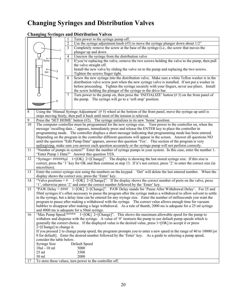# **Changing Syringes and Distribution Valves**

#### **Changing Syringes and Distribution Valves**

|                 |                                                                                                                   |   |   | Turn power to the syringe pump off.                                                                                          |
|-----------------|-------------------------------------------------------------------------------------------------------------------|---|---|------------------------------------------------------------------------------------------------------------------------------|
|                 |                                                                                                                   |   |   |                                                                                                                              |
|                 |                                                                                                                   |   |   | Use the syringe adjustment knob $(\#5)$ to move the syringe plunger down about $1/2$ "                                       |
|                 |                                                                                                                   |   | 3 | Completely remove the screw at the base of the syringe (i.e., the screw that moves the<br>plunger up and down                |
|                 |                                                                                                                   |   | 4 | Unscrew the syringe from the distribution valve                                                                              |
|                 | Home                                                                                                              |   | 5 | If you're replacing the valve, remove the two screws holding the valve to the pump, then pull                                |
|                 |                                                                                                                   |   |   | the valve straight off.                                                                                                      |
|                 |                                                                                                                   |   |   | Install the new valve by sliding the valve on to the pump and replacing the two screws.                                      |
|                 | Init                                                                                                              | 3 |   | Tighten the screws finger tight.                                                                                             |
|                 |                                                                                                                   | 4 | 6 | Screw the new syringe into the distribution valve. Make sure a white Teflon washer is in the                                 |
|                 |                                                                                                                   |   |   | distribution valve screw port when the new syringe valve is installed. If not put a washer in                                |
|                 |                                                                                                                   |   |   | before proceeding. Tighten the syringe securely with your fingers, never use pliers. Install                                 |
|                 |                                                                                                                   |   |   | the screw holding the plunger of the syringe to the drive bar.                                                               |
|                 |                                                                                                                   |   | 7 | Turn power to the pump on, then press the 'INITIALIZE' button $(\# 3)$ on the from panel of                                  |
|                 |                                                                                                                   |   |   | the pump. The syringe will go to a 'soft stop' position.                                                                     |
|                 |                                                                                                                   | 5 |   |                                                                                                                              |
|                 |                                                                                                                   |   |   |                                                                                                                              |
| 8               |                                                                                                                   |   |   | Using the 'Manual Syringe Adjustment' $(\# 5)$ wheel at the bottom of the front panel, move the syringe up until is          |
|                 |                                                                                                                   |   |   | stops moving freely, then pull it back until most of the tension is relieved.                                                |
| 9               |                                                                                                                   |   |   | Press the 'SET HOME' button $(\#2)$ . The syringe initializes to its new 'home' position.                                    |
| 10              |                                                                                                                   |   |   | The computer controller must be programmed for the new syringe size. Turn power to the controller on, when the               |
|                 |                                                                                                                   |   |   | message 'recalling data' appears, immediately press and release the ENTER key to place the controller in                     |
|                 |                                                                                                                   |   |   | programming mode. The controller displays a short message indicating that programming mode has been entered.                 |
|                 |                                                                                                                   |   |   | Depending on the program in the controller different questions will appear in the screen. Answer all questions NO            |
|                 | until the question "Edit Pump Data" appears, answer this question 'Yes'. This section of the program is very      |   |   |                                                                                                                              |
|                 |                                                                                                                   |   |   | unforgiving, make sure you answer each question accurately or the syringe pump will not perform correctly.                   |
| 11              |                                                                                                                   |   |   | "Number of pumps in system?" Enter the number of syringe pumps in your system. In this case, enter the number 1.             |
|                 |                                                                                                                   |   |   | "Enter Pump 1 Data?" Answer this question YES.                                                                               |
| 12              |                                                                                                                   |   |   | "Syringe= $\# \# \# \# \mu$ 1=[OK] 2=[Change]". The display is showing the last stored syringe size. If this size is         |
|                 |                                                                                                                   |   |   | correct, press the '1' key for OK and then continue at step 13. If it's not correct, press '2' to enter the correct size (in |
|                 | microliters).                                                                                                     |   |   |                                                                                                                              |
| 13              |                                                                                                                   |   |   | Enter the correct syringe size using the numbers on the keypad. 'Del' will delete the last entered number. When the          |
|                 |                                                                                                                   |   |   | display shows the correct size, press the 'Enter' key.                                                                       |
| 14              |                                                                                                                   |   |   | "Valve positions = $\#$ 1=[OK] 2=[Change]". If the display shows the correct number of ports on the valve, press             |
|                 |                                                                                                                   |   |   | '1', otherwise press '2' and enter the correct number followed by the 'Enter' key.                                           |
| $\overline{15}$ |                                                                                                                   |   |   | "PAW Delay = $\# \# \#$ 1=[OK] 2=[Change]". PAW Delay stands for 'Pause After Withdrawal Delay'. For 25 and                  |
|                 |                                                                                                                   |   |   | 50ml syringes it's often necessary to pause the program after the syringe makes a withdrawal to allow solvent to settle      |
|                 |                                                                                                                   |   |   | in the syringe, but a delay time can be entered for any sryinge size. Enter the number of milliseconds you want the          |
|                 |                                                                                                                   |   |   | program to pause after making a withdrawal with the syringe. The correct value allows enough time for vacuum                 |
|                 |                                                                                                                   |   |   | bubbles to disappear after making a large withdrawal. As a rule of thumb, 2000 ms is adequate for a 25 ml syringe            |
|                 |                                                                                                                   |   |   | and 4000 ms is adequate for a 50ml syringe.                                                                                  |
| 16              |                                                                                                                   |   |   | "Max Pump Speed: ***** $1 = [OK] 2 = [Change]$ ". This shows the maximum allowable speed for the pump to                     |
|                 |                                                                                                                   |   |   | withdraw and dispense with the syringe. A value of $0'$ instructs the pump to use default pump speeds which is               |
|                 | generally the correct choice. If the displayed value is the desired value, press $1 = [OK]$ to accept it or press |   |   |                                                                                                                              |
|                 | $2 = [Change]$ to change it.                                                                                      |   |   |                                                                                                                              |
|                 |                                                                                                                   |   |   | If you pressed 2 to change pump speed, the programs prompts you to enter a new speed in the range of 40 to 10000 [or         |
|                 |                                                                                                                   |   |   | 0 for default]. Enter the desired number followed by the 'Enter' key. As a guide to selecting a pump speed,                  |
|                 | consider the table below.                                                                                         |   |   |                                                                                                                              |
|                 | Syringe Size                                                                                                      |   |   | Default Speed                                                                                                                |
|                 | 10ul - 10 ml                                                                                                      |   |   | 5000                                                                                                                         |
|                 | $25$ ml                                                                                                           |   |   | 3500                                                                                                                         |
|                 | 50 ml                                                                                                             |   |   | 2000                                                                                                                         |
| 17              |                                                                                                                   |   |   | To store these values, turn power to the controller off.                                                                     |
|                 |                                                                                                                   |   |   |                                                                                                                              |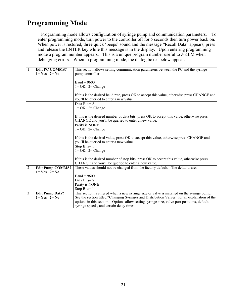### **Programming Mode**

 Programming mode allows configuration of syringe pump and communication parameters. To enter programming mode, turn power to the controller off for 5 seconds then turn power back on. When power is restored, three quick 'beeps' sound and the message "Recall Data" appears, press and release the ENTER key while this message is in the display. Upon entering programming mode a program number appears. This is a unique program number useful to J-KEM when debugging errors. When in programming mode, the dialog boxes below appear.

|                | <b>Edit PC COMMS?</b>   | This section allows setting communication parameters between the PC and the syringe          |
|----------------|-------------------------|----------------------------------------------------------------------------------------------|
|                | $1 = Yes$ $2 = No$      | pump controller.                                                                             |
|                |                         |                                                                                              |
|                |                         | Baud = $9600$                                                                                |
|                |                         | $1 = OK$ 2= Change                                                                           |
|                |                         |                                                                                              |
|                |                         | If this is the desired baud rate, press OK to accept this value, otherwise press CHANGE and  |
|                |                         | you'll be queried to enter a new value.                                                      |
|                |                         | Data Bits=8                                                                                  |
|                |                         | $1 = OK$ 2= Change                                                                           |
|                |                         |                                                                                              |
|                |                         | If this is the desired number of data bits, press OK to accept this value, otherwise press   |
|                |                         | CHANGE and you'll be queried to enter a new value.                                           |
|                |                         | Parity is NONE                                                                               |
|                |                         | $1 = OK$ 2= Change                                                                           |
|                |                         |                                                                                              |
|                |                         | If this is the desired value, press OK to accept this value, otherwise press CHANGE and      |
|                |                         | you'll be queried to enter a new value.                                                      |
|                |                         | Stop Bits=1<br>$1 = OK$ 2= Change                                                            |
|                |                         |                                                                                              |
|                |                         | If this is the desired number of stop bits, press OK to accept this value, otherwise press   |
|                |                         | CHANGE and you'll be queried to enter a new value.                                           |
| $\overline{2}$ | <b>Edit Pump COMMS?</b> | These values should not be changed from the factory default. The defaults are:               |
|                | $1 = Yes$ $2 = No$      |                                                                                              |
|                |                         | $Baud = 9600$                                                                                |
|                |                         | Data Bits=8                                                                                  |
|                |                         | Parity is NONE                                                                               |
|                |                         | Stop Bits= $1$                                                                               |
| 3              | <b>Edit Pump Data?</b>  | This section is entered when a new syringe size or valve is installed on the syringe pump.   |
|                | $1 = Yes$ $2 = No$      | See the section titled "Changing Syringes and Distribution Valves" for an explanation of the |
|                |                         | options in this section. Options allow setting syringe size, valve port positions, default   |
|                |                         | syringe speeds, and certain delay times.                                                     |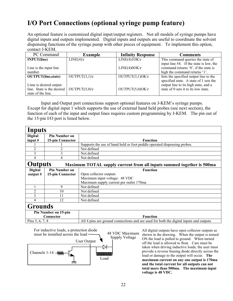## **I/O Port Connections (optional syringe pump feature)**

An optional feature is customized digital input/output registers. Not all models of syringe pumps have digital inputs and outputs implemented. Digital inputs and outputs are useful to coordinate the solvent dispensing functions of the syringe pump with other pieces of equipment. To implement this option, contact J-KEM.

| PC Command                 | <b>Example</b>              | <b>Infinity Response</b> | <b>Comments</b>                         |
|----------------------------|-----------------------------|--------------------------|-----------------------------------------|
| <b>INPUT(line)</b>         | $LINE(4)\rvert r$           | LINE(4)1OKr              | This command queries the state of       |
|                            |                             |                          | input line #4. If the state is low, the |
| Line is the input line     |                             | $LINE(4)0OK\$ r          | command returns '0', if the state is    |
| number.                    |                             |                          | high the command returns '1'.           |
| <b>OUTPUT</b> (line,state) | OUTPUT $(3,1)$ <sup>r</sup> | $OUTPUT(3,1)OK\$         | Sets the specified output line to the   |
|                            |                             |                          | specified state. A state of 1 sets the  |
| Lime is desired output     |                             |                          | output line to its high state, and a    |
| line. State is the desired | OUTPUT $(5,0)$ <sup>r</sup> | $OUTPUT(5,0)OK$ r        | state of 0 sets it to its low state.    |
| state of the line.         |                             |                          |                                         |

 Input and Output port connections support optional features on J-KEM's syringe pumps. Except for digital input 1 which supports the use of external hand held probes (see next section), the function of each of the input and output lines requires custom programming by J-KEM. The pin out of the 15-pin I/O port is listed below.

| Inputs               |                                                                                                                                 |                                                                                        |  |
|----------------------|---------------------------------------------------------------------------------------------------------------------------------|----------------------------------------------------------------------------------------|--|
| <b>Digital</b>       | <b>Pin Number on</b>                                                                                                            |                                                                                        |  |
| input $#$            | 15-pin Connector                                                                                                                | <b>Function</b>                                                                        |  |
|                      |                                                                                                                                 | Supports the use of hand held or foot peddle operated dispensing probes.               |  |
| $\overline{2}$       |                                                                                                                                 | Not defined                                                                            |  |
| 3                    | 3                                                                                                                               | Not defined                                                                            |  |
| 4                    |                                                                                                                                 | Not defined                                                                            |  |
|                      | <b>Outputs</b><br>Maximum TOTAL supply current from all inputs summed together is 500ma                                         |                                                                                        |  |
| <b>Digital</b>       | <b>Pin Number on</b>                                                                                                            | <b>Function</b>                                                                        |  |
| output $#$           | 15-pin Connector                                                                                                                | Open collector outputs                                                                 |  |
|                      |                                                                                                                                 | Maximum input voltage: 48 VDC                                                          |  |
|                      |                                                                                                                                 | Maximum supply current per outlet 170ma                                                |  |
|                      | 9                                                                                                                               | Not defined                                                                            |  |
| $\overline{c}$       | 10                                                                                                                              | Not defined                                                                            |  |
| 3                    | 11                                                                                                                              | Not defined                                                                            |  |
| 4                    | 12                                                                                                                              | Not defined                                                                            |  |
| <b>Grounds</b>       |                                                                                                                                 |                                                                                        |  |
| Pin Number on 15-pin |                                                                                                                                 |                                                                                        |  |
| Connector            |                                                                                                                                 | <b>Function</b>                                                                        |  |
| Pins 5, 6, 7, 8      |                                                                                                                                 | All 4 pins are ground connections and are used for both the digital inputs and outputs |  |
|                      | $\mathbf{F}$ . The state of $\mathbf{F}$ is the state of $\mathbf{F}$ is the state of $\mathbf{F}$ is the state of $\mathbf{F}$ |                                                                                        |  |



All digital outputs have open collector outputs as shown in the drawing. When the output is turned ON the load is pulled to ground. When turned off the load is allowed to float. Care must be taken when driving inductive loads, the user must provide a reverse biasing diode directly across the load or damage to the output will occur. **The maximum current on any one output is 170ma and the total current for all outputs can not total more than 500ma. The maximum input voltage is 48 VDC.**